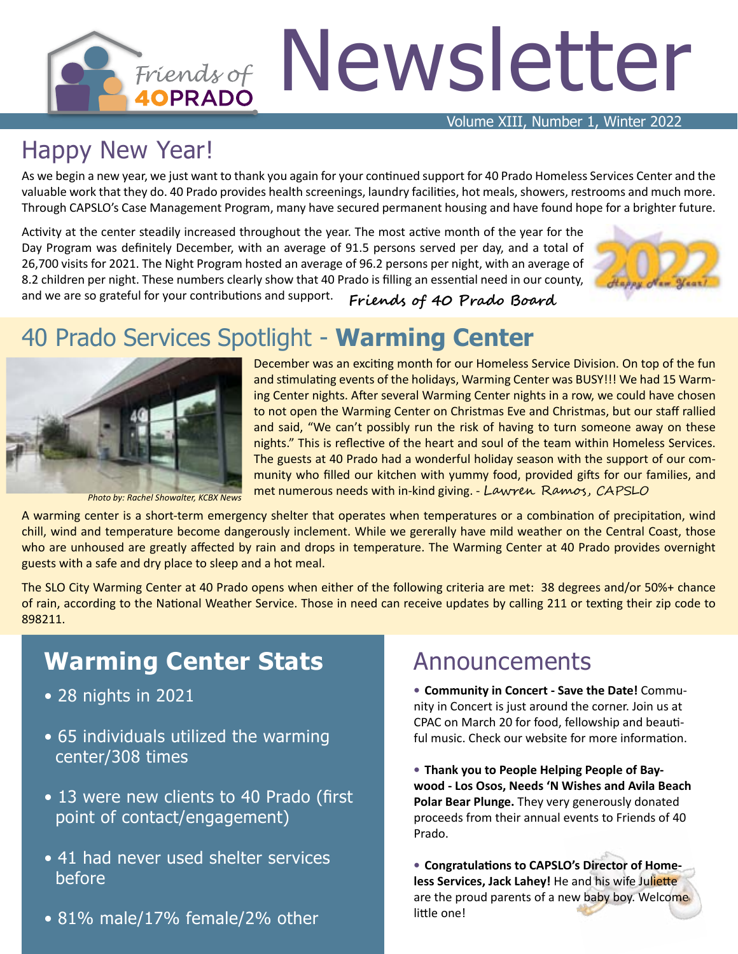# Friends of Newsletter

Volume XIII, Number 1, Winter 2022

# Happy New Year!

As we begin a new year, we just want to thank you again for your continued support for 40 Prado Homeless Services Center and the valuable work that they do. 40 Prado provides health screenings, laundry facilities, hot meals, showers, restrooms and much more. Through CAPSLO's Case Management Program, many have secured permanent housing and have found hope for a brighter future.

Activity at the center steadily increased throughout the year. The most active month of the year for the Day Program was definitely December, with an average of 91.5 persons served per day, and a total of 26,700 visits for 2021. The Night Program hosted an average of 96.2 persons per night, with an average of 8.2 children per night. These numbers clearly show that 40 Prado is filling an essential need in our county, and we are so grateful for your contributions and support.



**Friends of 40 Prado Board**

## 40 Prado Services Spotlight - **Warming Center**



*Photo by: Rachel Showalter, KCBX News*

ing Center nights. After several Warming Center nights in a row, we could have chosen to not open the Warming Center on Christmas Eve and Christmas, but our staff rallied and said, "We can't possibly run the risk of having to turn someone away on these nights." This is reflective of the heart and soul of the team within Homeless Services. The guests at 40 Prado had a wonderful holiday season with the support of our community who filled our kitchen with yummy food, provided gifts for our families, and met numerous needs with in-kind giving. - Lawren Ramos, CAPSLO

December was an exciting month for our Homeless Service Division. On top of the fun and stimulating events of the holidays, Warming Center was BUSY!!! We had 15 Warm-

A warming center is a short-term emergency shelter that operates when temperatures or a combination of precipitation, wind chill, wind and temperature become dangerously inclement. While we gererally have mild weather on the Central Coast, those who are unhoused are greatly affected by rain and drops in temperature. The Warming Center at 40 Prado provides overnight guests with a safe and dry place to sleep and a hot meal.

The SLO City Warming Center at 40 Prado opens when either of the following criteria are met: 38 degrees and/or 50%+ chance of rain, according to the National Weather Service. Those in need can receive updates by calling 211 or texting their zip code to 898211.

#### **Warming Center Stats**

- 28 nights in 2021
- 65 individuals utilized the warming center/308 times
- 13 were new clients to 40 Prado (first point of contact/engagement)
- 41 had never used shelter services before
- 81% male/17% female/2% other

#### Announcements

• **Community in Concert - Save the Date!** Community in Concert is just around the corner. Join us at CPAC on March 20 for food, fellowship and beautiful music. Check our website for more information.

• **Thank you to People Helping People of Baywood - Los Osos, Needs 'N Wishes and Avila Beach Polar Bear Plunge.** They very generously donated proceeds from their annual events to Friends of 40 Prado.

• **Congratulations to CAPSLO's Director of Homeless Services, Jack Lahey!** He and his wife Juliette are the proud parents of a new baby boy. Welcome little one!